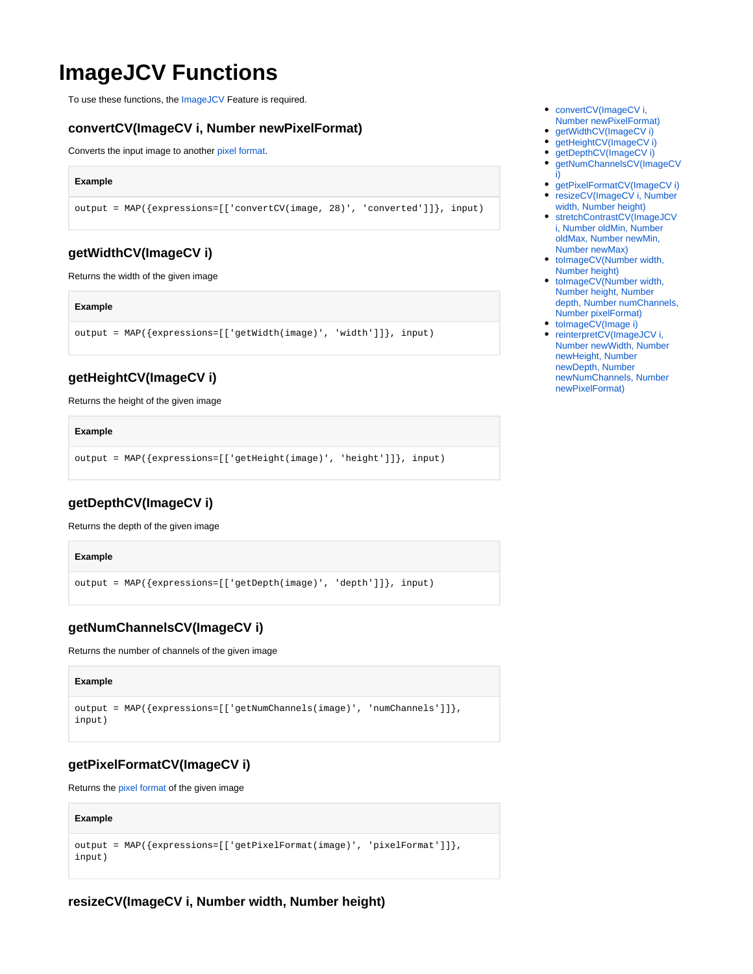# **ImageJCV Functions**

To use these functions, the [ImageJCV](https://wiki.odysseus.informatik.uni-oldenburg.de/display/ODYSSEUS/ImageJCV+feature) Feature is required.

## <span id="page-0-0"></span>**convertCV(ImageCV i, Number newPixelFormat)**

Converts the input image to another [pixel format.](https://wiki.odysseus.informatik.uni-oldenburg.de/display/ODYSSEUS/Pixel+Formats)

#### **Example**

output = MAP({expressions=[['convertCV(image, 28)', 'converted']]}, input)

## <span id="page-0-1"></span>**getWidthCV(ImageCV i)**

Returns the width of the given image

#### **Example**

```
output = MAP({expressions=[['getWidth(image)', 'width']]}, input)
```
## <span id="page-0-2"></span>**getHeightCV(ImageCV i)**

Returns the height of the given image

#### **Example**

```
output = MAP({expressions=[['getHeight(image)', 'height']]}, input)
```
## <span id="page-0-3"></span>**getDepthCV(ImageCV i)**

Returns the depth of the given image

#### **Example**

```
output = MAP({expressions=[['getDepth(image)', 'depth']]}, input)
```
## <span id="page-0-4"></span>**getNumChannelsCV(ImageCV i)**

Returns the number of channels of the given image

## **Example** output = MAP({expressions=[['getNumChannels(image)', 'numChannels']]}, input)

## <span id="page-0-5"></span>**getPixelFormatCV(ImageCV i)**

Returns the [pixel format](https://wiki.odysseus.informatik.uni-oldenburg.de/display/ODYSSEUS/Pixel+Formats) of the given image

#### **Example**

```
output = MAP({expressions=[['getPixelFormat(image)', 'pixelFormat']]}, 
input)
```
## <span id="page-0-6"></span>**resizeCV(ImageCV i, Number width, Number height)**

- $\bullet$ [convertCV\(ImageCV i,](#page-0-0)  [Number newPixelFormat\)](#page-0-0)
- [getWidthCV\(ImageCV i\)](#page-0-1)  $\bullet$
- [getHeightCV\(ImageCV i\)](#page-0-2)
- [getDepthCV\(ImageCV i\)](#page-0-3)  $\bullet$
- [getNumChannelsCV\(ImageCV](#page-0-4)  [i\)](#page-0-4)
- [getPixelFormatCV\(ImageCV i\)](#page-0-5) [resizeCV\(ImageCV i, Number](#page-0-6)
- [width, Number height\)](#page-0-6) • stretchContrastCV(ImageJCV [i, Number oldMin, Number](#page-1-0)  [oldMax, Number newMin,](#page-1-0)
- [Number newMax\)](#page-1-0)
- toImageCV(Number width, [Number height\)](#page-1-1)
- toImageCV(Number width, [Number height, Number](#page-1-2)  [depth, Number numChannels,](#page-1-2)  [Number pixelFormat\)](#page-1-2)
- [toImageCV\(Image i\)](#page-1-3)
- reinterpretCV(ImageJCV i, [Number newWidth, Number](#page-1-4)  [newHeight, Number](#page-1-4)  [newDepth, Number](#page-1-4)  [newNumChannels, Number](#page-1-4)  [newPixelFormat\)](#page-1-4)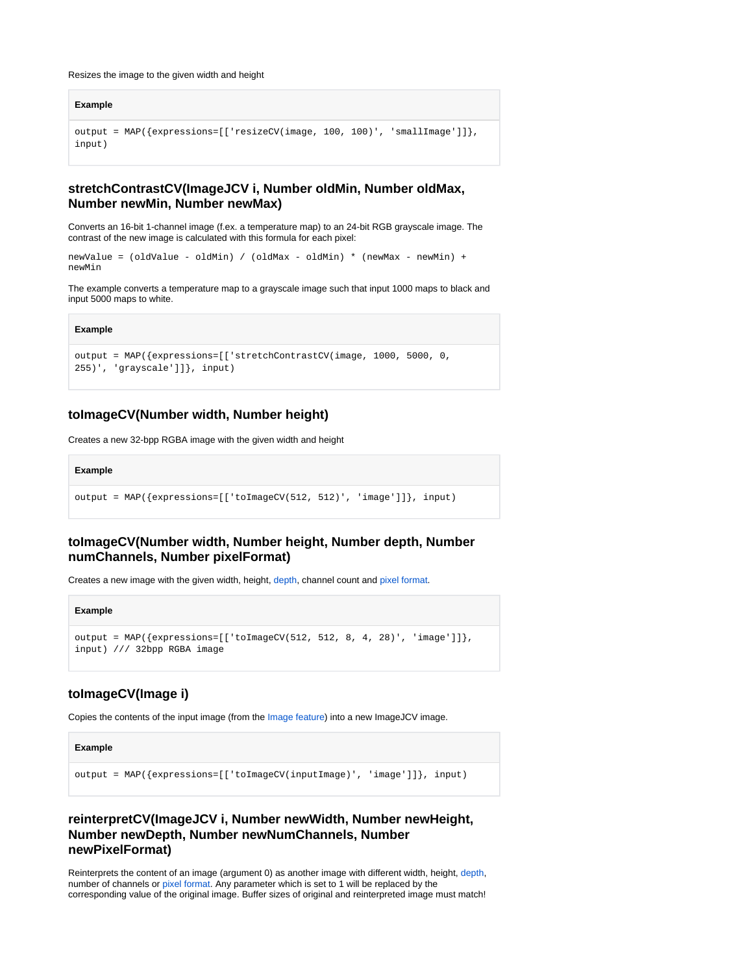#### Resizes the image to the given width and height

```
Example
output = MAP({expressions=[['resizeCV(image, 100, 100)', 'smallImage']]}, 
input)
```
## <span id="page-1-0"></span>**stretchContrastCV(ImageJCV i, Number oldMin, Number oldMax, Number newMin, Number newMax)**

Converts an 16-bit 1-channel image (f.ex. a temperature map) to an 24-bit RGB grayscale image. The contrast of the new image is calculated with this formula for each pixel:

```
newValue = (oldValue - oldMin) / (oldMax - oldMin) * (newMax - newMin) + 
newMin
```
The example converts a temperature map to a grayscale image such that input 1000 maps to black and input 5000 maps to white.

#### **Example**

```
output = MAP({expressions=[['stretchContrastCV(image, 1000, 5000, 0, 
255)', 'grayscale']]}, input)
```
### <span id="page-1-1"></span>**toImageCV(Number width, Number height)**

Creates a new 32-bpp RGBA image with the given width and height

#### **Example**

```
output = MAP({expressions=[['toImageCV(512, 512)', 'image']]}, input)
```
## <span id="page-1-2"></span>**toImageCV(Number width, Number height, Number depth, Number numChannels, Number pixelFormat)**

Creates a new image with the given width, height, [depth](https://wiki.odysseus.informatik.uni-oldenburg.de/display/ODYSSEUS/Image+depths), channel count and [pixel format.](https://wiki.odysseus.informatik.uni-oldenburg.de/display/ODYSSEUS/Pixel+Formats)

#### **Example**

```
output = MAP({\{expressions=[['toImageCV(512, 512, 8, 4, 28)', 'image']\}})input) /// 32bpp RGBA image
```
## <span id="page-1-3"></span>**toImageCV(Image i)**

Copies the contents of the input image (from the [Image feature\)](https://wiki.odysseus.informatik.uni-oldenburg.de/display/ODYSSEUS/Image+Feature) into a new ImageJCV image.

**Example**

output = MAP({expressions=[['toImageCV(inputImage)', 'image']]}, input)

## <span id="page-1-4"></span>**reinterpretCV(ImageJCV i, Number newWidth, Number newHeight, Number newDepth, Number newNumChannels, Number newPixelFormat)**

Reinterprets the content of an image (argument 0) as another image with different width, height, [depth,](https://wiki.odysseus.informatik.uni-oldenburg.de/display/ODYSSEUS/Image+depths) number of channels or [pixel format](https://wiki.odysseus.informatik.uni-oldenburg.de/display/ODYSSEUS/Pixel+Formats). Any parameter which is set to 1 will be replaced by the corresponding value of the original image. Buffer sizes of original and reinterpreted image must match!